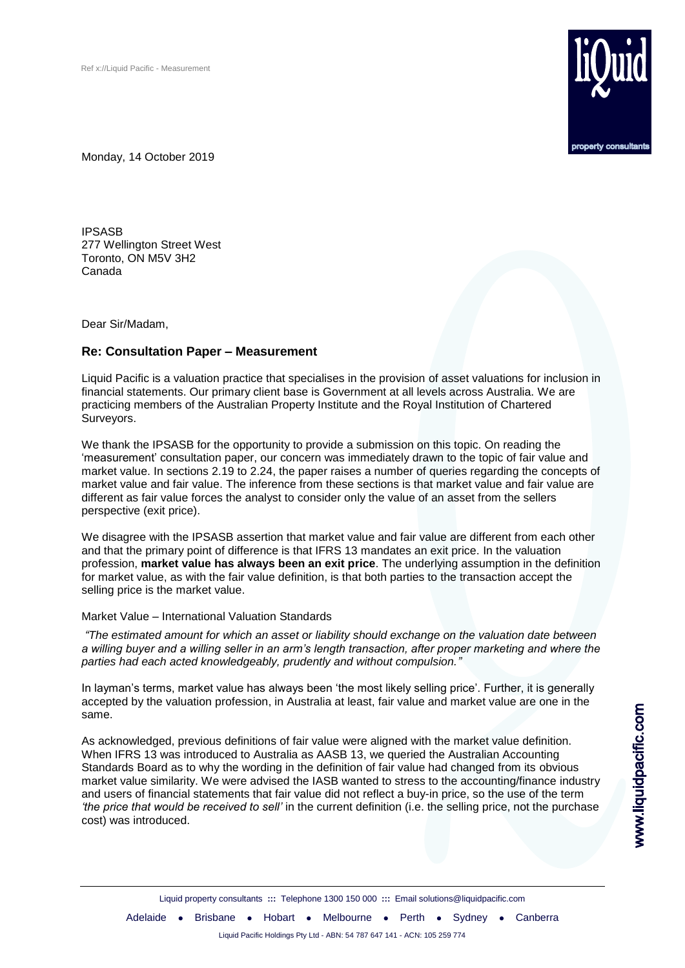

Monday, 14 October 2019

IPSASB 277 Wellington Street West Toronto, ON M5V 3H2 Canada

Dear Sir/Madam,

## **Re: Consultation Paper – Measurement**

Liquid Pacific is a valuation practice that specialises in the provision of asset valuations for inclusion in financial statements. Our primary client base is Government at all levels across Australia. We are practicing members of the Australian Property Institute and the Royal Institution of Chartered Surveyors.

We thank the IPSASB for the opportunity to provide a submission on this topic. On reading the 'measurement' consultation paper, our concern was immediately drawn to the topic of fair value and market value. In sections 2.19 to 2.24, the paper raises a number of queries regarding the concepts of market value and fair value. The inference from these sections is that market value and fair value are different as fair value forces the analyst to consider only the value of an asset from the sellers perspective (exit price).

We disagree with the IPSASB assertion that market value and fair value are different from each other and that the primary point of difference is that IFRS 13 mandates an exit price. In the valuation profession, **market value has always been an exit price**. The underlying assumption in the definition for market value, as with the fair value definition, is that both parties to the transaction accept the selling price is the market value.

## Market Value – International Valuation Standards

*"The estimated amount for which an asset or liability should exchange on the valuation date between a willing buyer and a willing seller in an arm's length transaction, after proper marketing and where the parties had each acted knowledgeably, prudently and without compulsion."*

In layman's terms, market value has always been 'the most likely selling price'. Further, it is generally accepted by the valuation profession, in Australia at least, fair value and market value are one in the same.

As acknowledged, previous definitions of fair value were aligned with the market value definition. When IFRS 13 was introduced to Australia as AASB 13, we queried the Australian Accounting Standards Board as to why the wording in the definition of fair value had changed from its obvious market value similarity. We were advised the IASB wanted to stress to the accounting/finance industry and users of financial statements that fair value did not reflect a buy-in price, so the use of the term *'the price that would be received to sell'* in the current definition (i.e. the selling price, not the purchase cost) was introduced.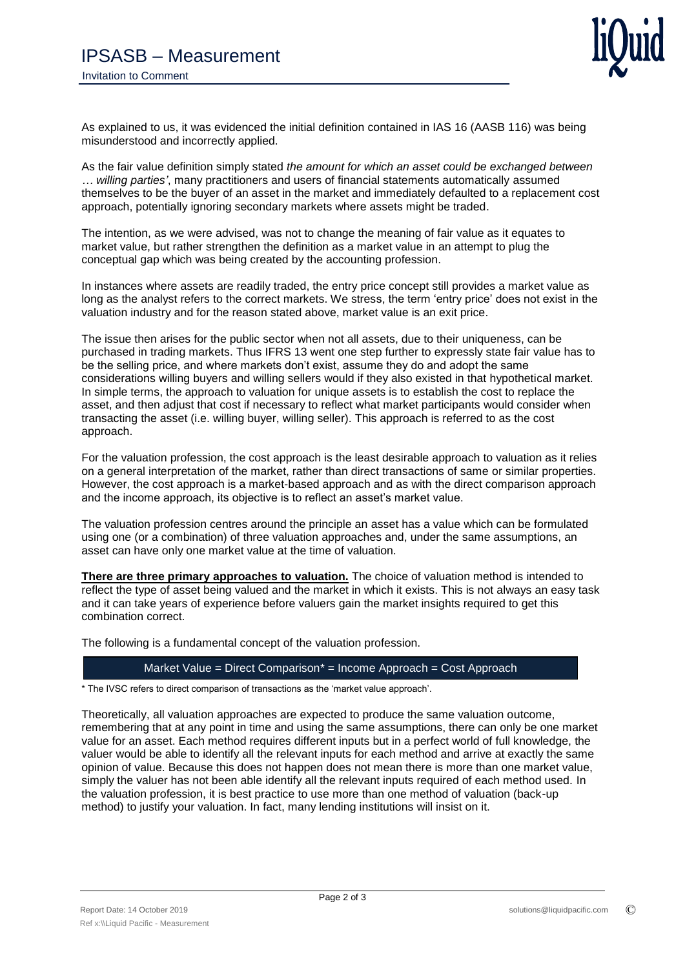

As explained to us, it was evidenced the initial definition contained in IAS 16 (AASB 116) was being misunderstood and incorrectly applied.

As the fair value definition simply stated *the amount for which an asset could be exchanged between … willing parties'*, many practitioners and users of financial statements automatically assumed themselves to be the buyer of an asset in the market and immediately defaulted to a replacement cost approach, potentially ignoring secondary markets where assets might be traded.

The intention, as we were advised, was not to change the meaning of fair value as it equates to market value, but rather strengthen the definition as a market value in an attempt to plug the conceptual gap which was being created by the accounting profession.

In instances where assets are readily traded, the entry price concept still provides a market value as long as the analyst refers to the correct markets. We stress, the term 'entry price' does not exist in the valuation industry and for the reason stated above, market value is an exit price.

The issue then arises for the public sector when not all assets, due to their uniqueness, can be purchased in trading markets. Thus IFRS 13 went one step further to expressly state fair value has to be the selling price, and where markets don't exist, assume they do and adopt the same considerations willing buyers and willing sellers would if they also existed in that hypothetical market. In simple terms, the approach to valuation for unique assets is to establish the cost to replace the asset, and then adjust that cost if necessary to reflect what market participants would consider when transacting the asset (i.e. willing buyer, willing seller). This approach is referred to as the cost approach.

For the valuation profession, the cost approach is the least desirable approach to valuation as it relies on a general interpretation of the market, rather than direct transactions of same or similar properties. However, the cost approach is a market-based approach and as with the direct comparison approach and the income approach, its objective is to reflect an asset's market value.

The valuation profession centres around the principle an asset has a value which can be formulated using one (or a combination) of three valuation approaches and, under the same assumptions, an asset can have only one market value at the time of valuation.

**There are three primary approaches to valuation.** The choice of valuation method is intended to reflect the type of asset being valued and the market in which it exists. This is not always an easy task and it can take years of experience before valuers gain the market insights required to get this combination correct.

The following is a fundamental concept of the valuation profession.

## Market Value = Direct Comparison\* = Income Approach = Cost Approach

\* The IVSC refers to direct comparison of transactions as the 'market value approach'.

Theoretically, all valuation approaches are expected to produce the same valuation outcome, remembering that at any point in time and using the same assumptions, there can only be one market value for an asset. Each method requires different inputs but in a perfect world of full knowledge, the valuer would be able to identify all the relevant inputs for each method and arrive at exactly the same opinion of value. Because this does not happen does not mean there is more than one market value, simply the valuer has not been able identify all the relevant inputs required of each method used. In the valuation profession, it is best practice to use more than one method of valuation (back-up method) to justify your valuation. In fact, many lending institutions will insist on it.